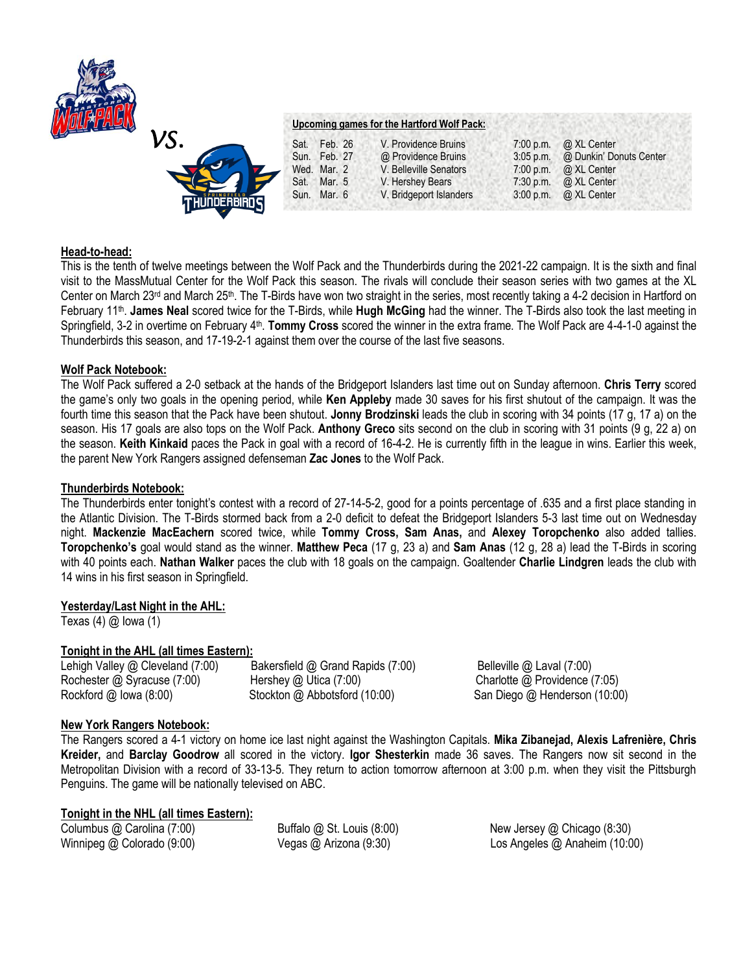



## **Head-to-head:**

This is the tenth of twelve meetings between the Wolf Pack and the Thunderbirds during the 2021-22 campaign. It is the sixth and final visit to the MassMutual Center for the Wolf Pack this season. The rivals will conclude their season series with two games at the XL Center on March 23<sup>rd</sup> and March 25<sup>th</sup>. The T-Birds have won two straight in the series, most recently taking a 4-2 decision in Hartford on February 11<sup>th</sup>. James Neal scored twice for the T-Birds, while Hugh McGing had the winner. The T-Birds also took the last meeting in Springfield, 3-2 in overtime on February 4<sup>th</sup>. Tommy Cross scored the winner in the extra frame. The Wolf Pack are 4-4-1-0 against the Thunderbirds this season, and 17-19-2-1 against them over the course of the last five seasons.

### **Wolf Pack Notebook:**

The Wolf Pack suffered a 2-0 setback at the hands of the Bridgeport Islanders last time out on Sunday afternoon. **Chris Terry** scored the game's only two goals in the opening period, while **Ken Appleby** made 30 saves for his first shutout of the campaign. It was the fourth time this season that the Pack have been shutout. **Jonny Brodzinski** leads the club in scoring with 34 points (17 g, 17 a) on the season. His 17 goals are also tops on the Wolf Pack. **Anthony Greco** sits second on the club in scoring with 31 points (9 g, 22 a) on the season. **Keith Kinkaid** paces the Pack in goal with a record of 16-4-2. He is currently fifth in the league in wins. Earlier this week, the parent New York Rangers assigned defenseman **Zac Jones** to the Wolf Pack.

### **Thunderbirds Notebook:**

The Thunderbirds enter tonight's contest with a record of 27-14-5-2, good for a points percentage of .635 and a first place standing in the Atlantic Division. The T-Birds stormed back from a 2-0 deficit to defeat the Bridgeport Islanders 5-3 last time out on Wednesday night. **Mackenzie MacEachern** scored twice, while **Tommy Cross, Sam Anas,** and **Alexey Toropchenko** also added tallies. **Toropchenko's** goal would stand as the winner. **Matthew Peca** (17 g, 23 a) and **Sam Anas** (12 g, 28 a) lead the T-Birds in scoring with 40 points each. **Nathan Walker** paces the club with 18 goals on the campaign. Goaltender **Charlie Lindgren** leads the club with 14 wins in his first season in Springfield.

# **Yesterday/Last Night in the AHL:**

Texas  $(4)$   $@$  lowa  $(1)$ 

# **Tonight in the AHL (all times Eastern):**

Lehigh Valley @ Cleveland (7:00) Bakersfield @ Grand Rapids (7:00) Belleville @ Laval (7:00) Rochester @ Syracuse (7:00) Hershey @ Utica (7:00) Charlotte @ Providence (7:05) Rockford @ Iowa (8:00) Stockton @ Abbotsford (10:00) San Diego @ Henderson (10:00)

# **New York Rangers Notebook:**

The Rangers scored a 4-1 victory on home ice last night against the Washington Capitals. **Mika Zibanejad, Alexis Lafrenière, Chris Kreider,** and **Barclay Goodrow** all scored in the victory. **Igor Shesterkin** made 36 saves. The Rangers now sit second in the Metropolitan Division with a record of 33-13-5. They return to action tomorrow afternoon at 3:00 p.m. when they visit the Pittsburgh Penguins. The game will be nationally televised on ABC.

### **Tonight in the NHL (all times Eastern):**

Columbus @ Carolina (7:00) Buffalo @ St. Louis (8:00) New Jersey @ Chicago (8:30) Winnipeg @ Colorado (9:00) Vegas @ Arizona (9:30) Los Angeles @ Anaheim (10:00)